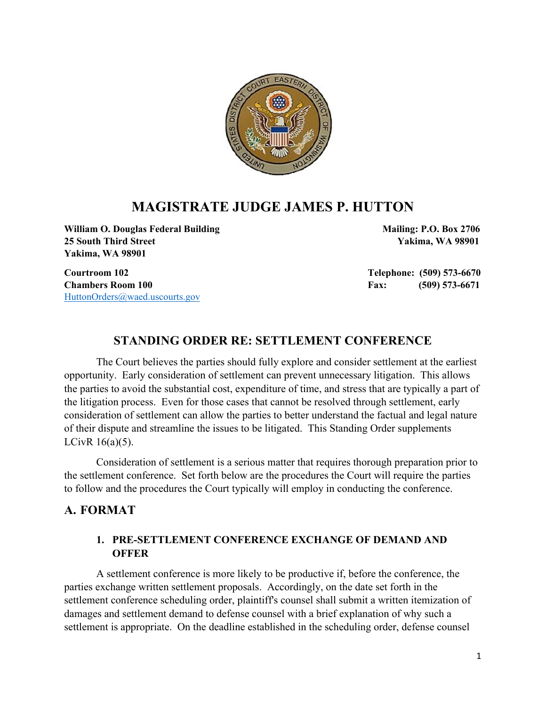

# **MAGISTRATE JUDGE JAMES P. HUTTON**

William O. Douglas Federal Building Mailing: P.O. Box 2706 **25 South Third Street Yakima, WA 98901 Yakima, WA 98901**

[HuttonOrders@waed.uscourts.gov](mailto:HuttonOrders@waed.uscourts.gov)

**Courtroom 102 Telephone: (509) 573-6670 Chambers Room 100 Fax:** (509) 573-6671

### **STANDING ORDER RE: SETTLEMENT CONFERENCE**

The Court believes the parties should fully explore and consider settlement at the earliest opportunity. Early consideration of settlement can prevent unnecessary litigation. This allows the parties to avoid the substantial cost, expenditure of time, and stress that are typically a part of the litigation process. Even for those cases that cannot be resolved through settlement, early consideration of settlement can allow the parties to better understand the factual and legal nature of their dispute and streamline the issues to be litigated. This Standing Order supplements LCivR 16(a)(5).

Consideration of settlement is a serious matter that requires thorough preparation prior to the settlement conference. Set forth below are the procedures the Court will require the parties to follow and the procedures the Court typically will employ in conducting the conference.

#### **A. FORMAT**

#### **1. PRE-SETTLEMENT CONFERENCE EXCHANGE OF DEMAND AND OFFER**

A settlement conference is more likely to be productive if, before the conference, the parties exchange written settlement proposals. Accordingly, on the date set forth in the settlement conference scheduling order, plaintiff's counsel shall submit a written itemization of damages and settlement demand to defense counsel with a brief explanation of why such a settlement is appropriate. On the deadline established in the scheduling order, defense counsel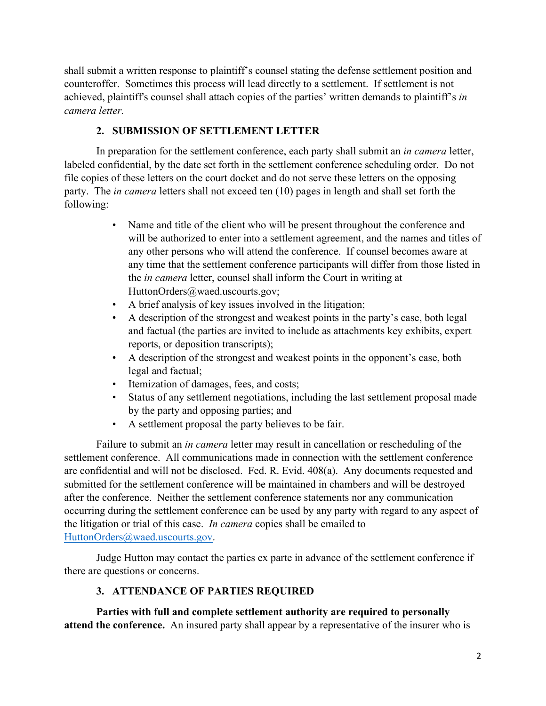shall submit a written response to plaintiff's counsel stating the defense settlement position and counteroffer. Sometimes this process will lead directly to a settlement. If settlement is not achieved, plaintiff's counsel shall attach copies of the parties' written demands to plaintiff's *in camera letter.*

### **2. SUBMISSION OF SETTLEMENT LETTER**

In preparation for the settlement conference, each party shall submit an *in camera* letter, labeled confidential, by the date set forth in the settlement conference scheduling order. Do not file copies of these letters on the court docket and do not serve these letters on the opposing party. The *in camera* letters shall not exceed ten (10) pages in length and shall set forth the following:

- Name and title of the client who will be present throughout the conference and will be authorized to enter into a settlement agreement, and the names and titles of any other persons who will attend the conference. If counsel becomes aware at any time that the settlement conference participants will differ from those listed in the *in camera* letter, counsel shall inform the Court in writing at HuttonOrders@waed.uscourts.gov;
- A brief analysis of key issues involved in the litigation;
- A description of the strongest and weakest points in the party's case, both legal and factual (the parties are invited to include as attachments key exhibits, expert reports, or deposition transcripts);
- A description of the strongest and weakest points in the opponent's case, both legal and factual;
- Itemization of damages, fees, and costs;
- Status of any settlement negotiations, including the last settlement proposal made by the party and opposing parties; and
- A settlement proposal the party believes to be fair.

Failure to submit an *in camera* letter may result in cancellation or rescheduling of the settlement conference. All communications made in connection with the settlement conference are confidential and will not be disclosed. Fed. R. Evid. 408(a). Any documents requested and submitted for the settlement conference will be maintained in chambers and will be destroyed after the conference. Neither the settlement conference statements nor any communication occurring during the settlement conference can be used by any party with regard to any aspect of the litigation or trial of this case. *In camera* copies shall be emailed to [HuttonOrders@waed.uscourts.gov.](mailto:HuttonOrders@waed.uscourts.gov)

Judge Hutton may contact the parties ex parte in advance of the settlement conference if there are questions or concerns.

#### **3. ATTENDANCE OF PARTIES REQUIRED**

**Parties with full and complete settlement authority are required to personally attend the conference.** An insured party shall appear by a representative of the insurer who is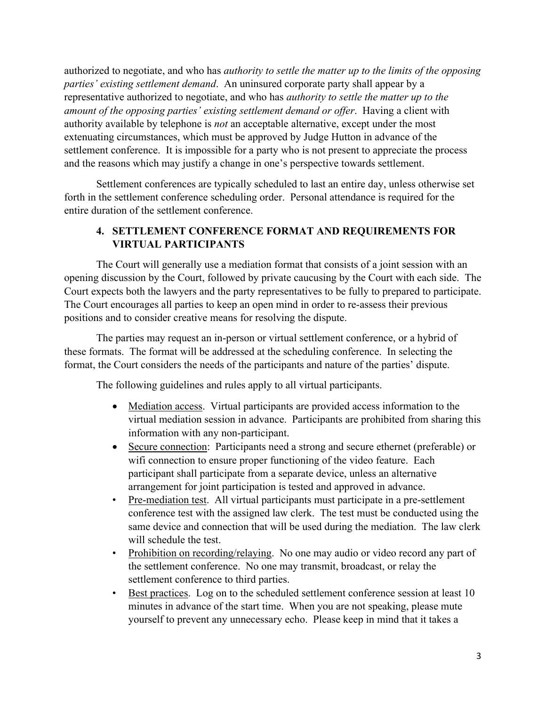authorized to negotiate, and who has *authority to settle the matter up to the limits of the opposing parties' existing settlement demand*. An uninsured corporate party shall appear by a representative authorized to negotiate, and who has *authority to settle the matter up to the amount of the opposing parties' existing settlement demand or offer*. Having a client with authority available by telephone is *not* an acceptable alternative, except under the most extenuating circumstances, which must be approved by Judge Hutton in advance of the settlement conference. It is impossible for a party who is not present to appreciate the process and the reasons which may justify a change in one's perspective towards settlement.

Settlement conferences are typically scheduled to last an entire day, unless otherwise set forth in the settlement conference scheduling order. Personal attendance is required for the entire duration of the settlement conference.

### **4. SETTLEMENT CONFERENCE FORMAT AND REQUIREMENTS FOR VIRTUAL PARTICIPANTS**

The Court will generally use a mediation format that consists of a joint session with an opening discussion by the Court, followed by private caucusing by the Court with each side. The Court expects both the lawyers and the party representatives to be fully to prepared to participate. The Court encourages all parties to keep an open mind in order to re-assess their previous positions and to consider creative means for resolving the dispute.

The parties may request an in-person or virtual settlement conference, or a hybrid of these formats. The format will be addressed at the scheduling conference. In selecting the format, the Court considers the needs of the participants and nature of the parties' dispute.

The following guidelines and rules apply to all virtual participants.

- Mediation access. Virtual participants are provided access information to the virtual mediation session in advance. Participants are prohibited from sharing this information with any non-participant.
- Secure connection: Participants need a strong and secure ethernet (preferable) or wifi connection to ensure proper functioning of the video feature. Each participant shall participate from a separate device, unless an alternative arrangement for joint participation is tested and approved in advance.
- Pre-mediation test. All virtual participants must participate in a pre-settlement conference test with the assigned law clerk. The test must be conducted using the same device and connection that will be used during the mediation. The law clerk will schedule the test.
- Prohibition on recording/relaying. No one may audio or video record any part of the settlement conference. No one may transmit, broadcast, or relay the settlement conference to third parties.
- Best practices. Log on to the scheduled settlement conference session at least 10 minutes in advance of the start time. When you are not speaking, please mute yourself to prevent any unnecessary echo. Please keep in mind that it takes a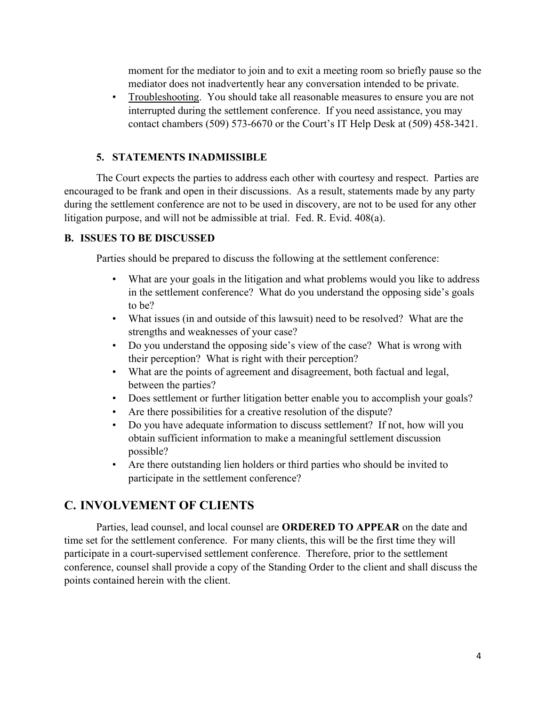moment for the mediator to join and to exit a meeting room so briefly pause so the mediator does not inadvertently hear any conversation intended to be private.

• Troubleshooting. You should take all reasonable measures to ensure you are not interrupted during the settlement conference. If you need assistance, you may contact chambers (509) 573-6670 or the Court's IT Help Desk at (509) 458-3421.

#### **5. STATEMENTS INADMISSIBLE**

The Court expects the parties to address each other with courtesy and respect. Parties are encouraged to be frank and open in their discussions. As a result, statements made by any party during the settlement conference are not to be used in discovery, are not to be used for any other litigation purpose, and will not be admissible at trial. Fed. R. Evid. 408(a).

#### **B. ISSUES TO BE DISCUSSED**

Parties should be prepared to discuss the following at the settlement conference:

- What are your goals in the litigation and what problems would you like to address in the settlement conference? What do you understand the opposing side's goals to be?
- What issues (in and outside of this lawsuit) need to be resolved? What are the strengths and weaknesses of your case?
- Do you understand the opposing side's view of the case? What is wrong with their perception? What is right with their perception?
- What are the points of agreement and disagreement, both factual and legal, between the parties?
- Does settlement or further litigation better enable you to accomplish your goals?
- Are there possibilities for a creative resolution of the dispute?
- Do you have adequate information to discuss settlement? If not, how will you obtain sufficient information to make a meaningful settlement discussion possible?
- Are there outstanding lien holders or third parties who should be invited to participate in the settlement conference?

## **C. INVOLVEMENT OF CLIENTS**

Parties, lead counsel, and local counsel are **ORDERED TO APPEAR** on the date and time set for the settlement conference. For many clients, this will be the first time they will participate in a court-supervised settlement conference. Therefore, prior to the settlement conference, counsel shall provide a copy of the Standing Order to the client and shall discuss the points contained herein with the client.